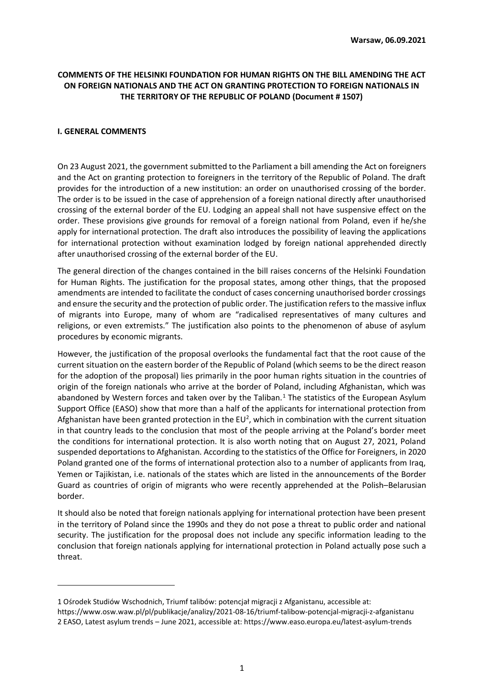# **COMMENTS OF THE HELSINKI FOUNDATION FOR HUMAN RIGHTS ON THE BILL AMENDING THE ACT ON FOREIGN NATIONALS AND THE ACT ON GRANTING PROTECTION TO FOREIGN NATIONALS IN THE TERRITORY OF THE REPUBLIC OF POLAND (Document # 1507)**

#### **I. GENERAL COMMENTS**

On 23 August 2021, the government submitted to the Parliament a bill amending the Act on foreigners and the Act on granting protection to foreigners in the territory of the Republic of Poland. The draft provides for the introduction of a new institution: an order on unauthorised crossing of the border. The order is to be issued in the case of apprehension of a foreign national directly after unauthorised crossing of the external border of the EU. Lodging an appeal shall not have suspensive effect on the order. These provisions give grounds for removal of a foreign national from Poland, even if he/she apply for international protection. The draft also introduces the possibility of leaving the applications for international protection without examination lodged by foreign national apprehended directly after unauthorised crossing of the external border of the EU.

The general direction of the changes contained in the bill raises concerns of the Helsinki Foundation for Human Rights. The justification for the proposal states, among other things, that the proposed amendments are intended to facilitate the conduct of cases concerning unauthorised border crossings and ensure the security and the protection of public order. The justification refers to the massive influx of migrants into Europe, many of whom are "radicalised representatives of many cultures and religions, or even extremists." The justification also points to the phenomenon of abuse of asylum procedures by economic migrants.

However, the justification of the proposal overlooks the fundamental fact that the root cause of the current situation on the eastern border of the Republic of Poland (which seems to be the direct reason for the adoption of the proposal) lies primarily in the poor human rights situation in the countries of origin of the foreign nationals who arrive at the border of Poland, including Afghanistan, which was abandoned by Western forces and taken over by the Taliban.<sup>1</sup> The statistics of the European Asylum Support Office (EASO) show that more than a half of the applicants for international protection from Afghanistan have been granted protection in the EU<sup>2</sup>, which in combination with the current situation in that country leads to the conclusion that most of the people arriving at the Poland's border meet the conditions for international protection. It is also worth noting that on August 27, 2021, Poland suspended deportations to Afghanistan. According to the statistics of the Office for Foreigners, in 2020 Poland granted one of the forms of international protection also to a number of applicants from Iraq, Yemen or Tajikistan, i.e. nationals of the states which are listed in the announcements of the Border Guard as countries of origin of migrants who were recently apprehended at the Polish–Belarusian border.

It should also be noted that foreign nationals applying for international protection have been present in the territory of Poland since the 1990s and they do not pose a threat to public order and national security. The justification for the proposal does not include any specific information leading to the conclusion that foreign nationals applying for international protection in Poland actually pose such a threat.

<sup>1</sup> Ośrodek Studiów Wschodnich, Triumf talibów: potencjał migracji z Afganistanu, accessible at: https://www.osw.waw.pl/pl/publikacje/analizy/2021-08-16/triumf-talibow-potencjal-migracji-z-afganistanu 2 EASO, Latest asylum trends – June 2021, accessible at: https://www.easo.europa.eu/latest-asylum-trends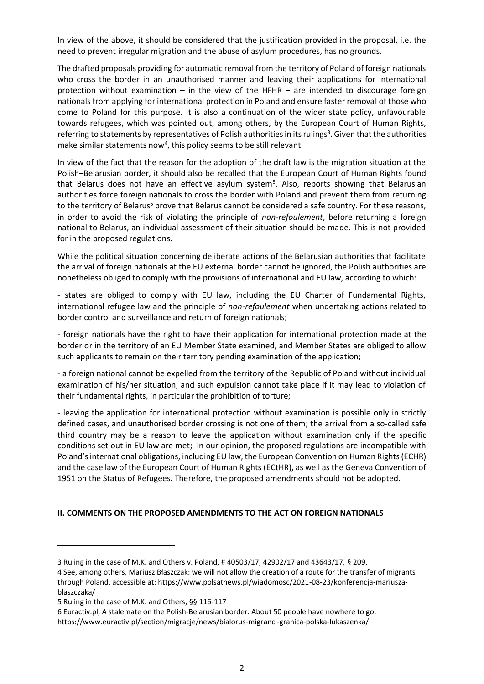In view of the above, it should be considered that the justification provided in the proposal, i.e. the need to prevent irregular migration and the abuse of asylum procedures, has no grounds.

The drafted proposals providing for automatic removal from the territory of Poland of foreign nationals who cross the border in an unauthorised manner and leaving their applications for international protection without examination – in the view of the HFHR – are intended to discourage foreign nationals from applying for international protection in Poland and ensure faster removal of those who come to Poland for this purpose. It is also a continuation of the wider state policy, unfavourable towards refugees, which was pointed out, among others, by the European Court of Human Rights, referring to statements by representatives of Polish authorities in its rulings<sup>3</sup>. Given that the authorities make similar statements now<sup>4</sup>, this policy seems to be still relevant.

In view of the fact that the reason for the adoption of the draft law is the migration situation at the Polish–Belarusian border, it should also be recalled that the European Court of Human Rights found that Belarus does not have an effective asylum system<sup>5</sup>. Also, reports showing that Belarusian authorities force foreign nationals to cross the border with Poland and prevent them from returning to the territory of Belarus<sup>6</sup> prove that Belarus cannot be considered a safe country. For these reasons, in order to avoid the risk of violating the principle of *non-refoulement*, before returning a foreign national to Belarus, an individual assessment of their situation should be made. This is not provided for in the proposed regulations.

While the political situation concerning deliberate actions of the Belarusian authorities that facilitate the arrival of foreign nationals at the EU external border cannot be ignored, the Polish authorities are nonetheless obliged to comply with the provisions of international and EU law, according to which:

- states are obliged to comply with EU law, including the EU Charter of Fundamental Rights, international refugee law and the principle of *non-refoulement* when undertaking actions related to border control and surveillance and return of foreign nationals;

- foreign nationals have the right to have their application for international protection made at the border or in the territory of an EU Member State examined, and Member States are obliged to allow such applicants to remain on their territory pending examination of the application;

- a foreign national cannot be expelled from the territory of the Republic of Poland without individual examination of his/her situation, and such expulsion cannot take place if it may lead to violation of their fundamental rights, in particular the prohibition of torture;

- leaving the application for international protection without examination is possible only in strictly defined cases, and unauthorised border crossing is not one of them; the arrival from a so-called safe third country may be a reason to leave the application without examination only if the specific conditions set out in EU law are met; In our opinion, the proposed regulations are incompatible with Poland's international obligations, including EU law, the European Convention on Human Rights (ECHR) and the case law of the European Court of Human Rights (ECtHR), as well as the Geneva Convention of 1951 on the Status of Refugees. Therefore, the proposed amendments should not be adopted.

### **II. COMMENTS ON THE PROPOSED AMENDMENTS TO THE ACT ON FOREIGN NATIONALS**

<sup>3</sup> Ruling in the case of M.K. and Others v. Poland, # 40503/17, 42902/17 and 43643/17, § 209.

<sup>4</sup> See, among others, Mariusz Błaszczak: we will not allow the creation of a route for the transfer of migrants through Poland, accessible at: https://www.polsatnews.pl/wiadomosc/2021-08-23/konferencja-mariuszablaszczaka/

<sup>5</sup> Ruling in the case of M.K. and Others, §§ 116-117

<sup>6</sup> Euractiv.pl, A stalemate on the Polish-Belarusian border. About 50 people have nowhere to go: https://www.euractiv.pl/section/migracje/news/bialorus-migranci-granica-polska-lukaszenka/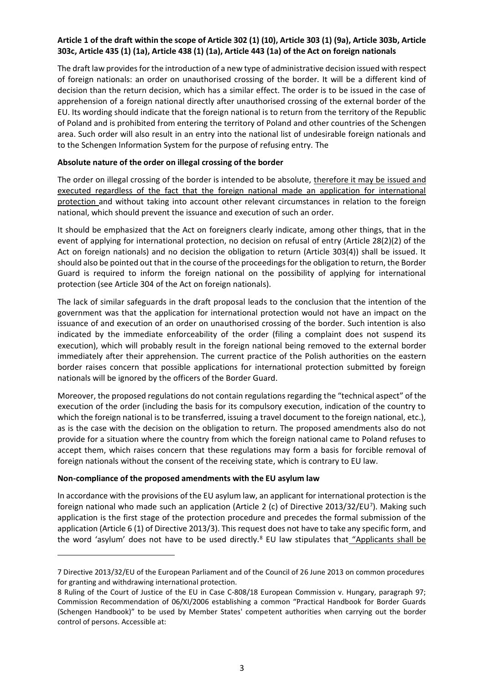# **Article 1 of the draft within the scope of Article 302 (1) (10), Article 303 (1) (9a), Article 303b, Article 303c, Article 435 (1) (1a), Article 438 (1) (1a), Article 443 (1a) of the Act on foreign nationals**

The draft law provides for the introduction of a new type of administrative decision issued with respect of foreign nationals: an order on unauthorised crossing of the border. It will be a different kind of decision than the return decision, which has a similar effect. The order is to be issued in the case of apprehension of a foreign national directly after unauthorised crossing of the external border of the EU. Its wording should indicate that the foreign national is to return from the territory of the Republic of Poland and is prohibited from entering the territory of Poland and other countries of the Schengen area. Such order will also result in an entry into the national list of undesirable foreign nationals and to the Schengen Information System for the purpose of refusing entry. The

## **Absolute nature of the order on illegal crossing of the border**

The order on illegal crossing of the border is intended to be absolute, therefore it may be issued and executed regardless of the fact that the foreign national made an application for international protection and without taking into account other relevant circumstances in relation to the foreign national, which should prevent the issuance and execution of such an order.

It should be emphasized that the Act on foreigners clearly indicate, among other things, that in the event of applying for international protection, no decision on refusal of entry (Article 28(2)(2) of the Act on foreign nationals) and no decision the obligation to return (Article 303(4)) shall be issued. It should also be pointed out that in the course of the proceedings for the obligation to return, the Border Guard is required to inform the foreign national on the possibility of applying for international protection (see Article 304 of the Act on foreign nationals).

The lack of similar safeguards in the draft proposal leads to the conclusion that the intention of the government was that the application for international protection would not have an impact on the issuance of and execution of an order on unauthorised crossing of the border. Such intention is also indicated by the immediate enforceability of the order (filing a complaint does not suspend its execution), which will probably result in the foreign national being removed to the external border immediately after their apprehension. The current practice of the Polish authorities on the eastern border raises concern that possible applications for international protection submitted by foreign nationals will be ignored by the officers of the Border Guard.

Moreover, the proposed regulations do not contain regulations regarding the "technical aspect" of the execution of the order (including the basis for its compulsory execution, indication of the country to which the foreign national is to be transferred, issuing a travel document to the foreign national, etc.), as is the case with the decision on the obligation to return. The proposed amendments also do not provide for a situation where the country from which the foreign national came to Poland refuses to accept them, which raises concern that these regulations may form a basis for forcible removal of foreign nationals without the consent of the receiving state, which is contrary to EU law.

### **Non-compliance of the proposed amendments with the EU asylum law**

In accordance with the provisions of the EU asylum law, an applicant for international protection is the foreign national who made such an application (Article 2 (c) of Directive 2013/32/EU<sup>7</sup>). Making such application is the first stage of the protection procedure and precedes the formal submission of the application (Article 6 (1) of Directive 2013/3). This request does not have to take any specific form, and the word 'asylum' does not have to be used directly.<sup>8</sup> EU law stipulates that "Applicants shall be

<sup>7</sup> Directive 2013/32/EU of the European Parliament and of the Council of 26 June 2013 on common procedures for granting and withdrawing international protection.

<sup>8</sup> Ruling of the Court of Justice of the EU in Case C-808/18 European Commission v. Hungary, paragraph 97; Commission Recommendation of 06/XI/2006 establishing a common "Practical Handbook for Border Guards (Schengen Handbook)" to be used by Member States' competent authorities when carrying out the border control of persons. Accessible at: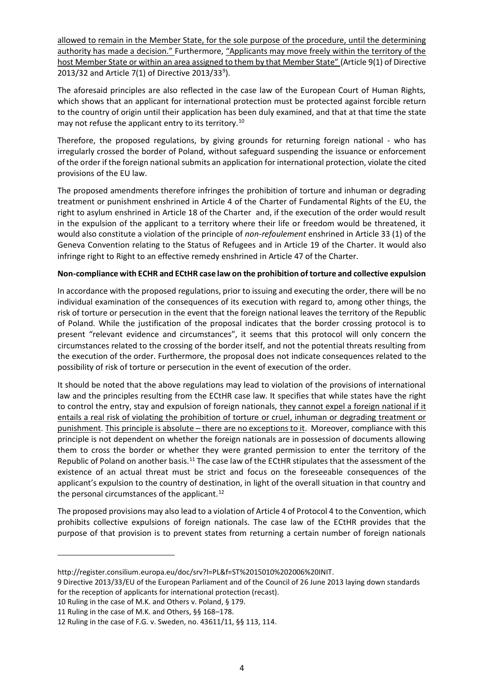allowed to remain in the Member State, for the sole purpose of the procedure, until the determining authority has made a decision." Furthermore, "Applicants may move freely within the territory of the host Member State or within an area assigned to them by that Member State" (Article 9(1) of Directive 2013/32 and Article 7(1) of Directive 2013/33<sup>9</sup>).

The aforesaid principles are also reflected in the case law of the European Court of Human Rights, which shows that an applicant for international protection must be protected against forcible return to the country of origin until their application has been duly examined, and that at that time the state may not refuse the applicant entry to its territory.<sup>10</sup>

Therefore, the proposed regulations, by giving grounds for returning foreign national - who has irregularly crossed the border of Poland, without safeguard suspending the issuance or enforcement of the order if the foreign national submits an application for international protection, violate the cited provisions of the EU law.

The proposed amendments therefore infringes the prohibition of torture and inhuman or degrading treatment or punishment enshrined in Article 4 of the Charter of Fundamental Rights of the EU, the right to asylum enshrined in Article 18 of the Charter and, if the execution of the order would result in the expulsion of the applicant to a territory where their life or freedom would be threatened, it would also constitute a violation of the principle of *non-refoulement* enshrined in Article 33 (1) of the Geneva Convention relating to the Status of Refugees and in Article 19 of the Charter. It would also infringe right to Right to an effective remedy enshrined in Article 47 of the Charter.

### **Non-compliance with ECHR and ECtHR case law on the prohibition of torture and collective expulsion**

In accordance with the proposed regulations, prior to issuing and executing the order, there will be no individual examination of the consequences of its execution with regard to, among other things, the risk of torture or persecution in the event that the foreign national leaves the territory of the Republic of Poland. While the justification of the proposal indicates that the border crossing protocol is to present "relevant evidence and circumstances", it seems that this protocol will only concern the circumstances related to the crossing of the border itself, and not the potential threats resulting from the execution of the order. Furthermore, the proposal does not indicate consequences related to the possibility of risk of torture or persecution in the event of execution of the order.

It should be noted that the above regulations may lead to violation of the provisions of international law and the principles resulting from the ECtHR case law. It specifies that while states have the right to control the entry, stay and expulsion of foreign nationals, they cannot expel a foreign national if it entails a real risk of violating the prohibition of torture or cruel, inhuman or degrading treatment or punishment. This principle is absolute – there are no exceptions to it. Moreover, compliance with this principle is not dependent on whether the foreign nationals are in possession of documents allowing them to cross the border or whether they were granted permission to enter the territory of the Republic of Poland on another basis.<sup>11</sup> The case law of the ECtHR stipulates that the assessment of the existence of an actual threat must be strict and focus on the foreseeable consequences of the applicant's expulsion to the country of destination, in light of the overall situation in that country and the personal circumstances of the applicant.<sup>12</sup>

The proposed provisions may also lead to a violation of Article 4 of Protocol 4 to the Convention, which prohibits collective expulsions of foreign nationals. The case law of the ECtHR provides that the purpose of that provision is to prevent states from returning a certain number of foreign nationals

10 Ruling in the case of M.K. and Others v. Poland, § 179.

http://register.consilium.europa.eu/doc/srv?l=PL&f=ST%2015010%202006%20INIT.

<sup>9</sup> Directive 2013/33/EU of the European Parliament and of the Council of 26 June 2013 laying down standards for the reception of applicants for international protection (recast).

<sup>11</sup> Ruling in the case of M.K. and Others, §§ 168–178.

<sup>12</sup> Ruling in the case of F.G. v. Sweden, no. 43611/11, §§ 113, 114.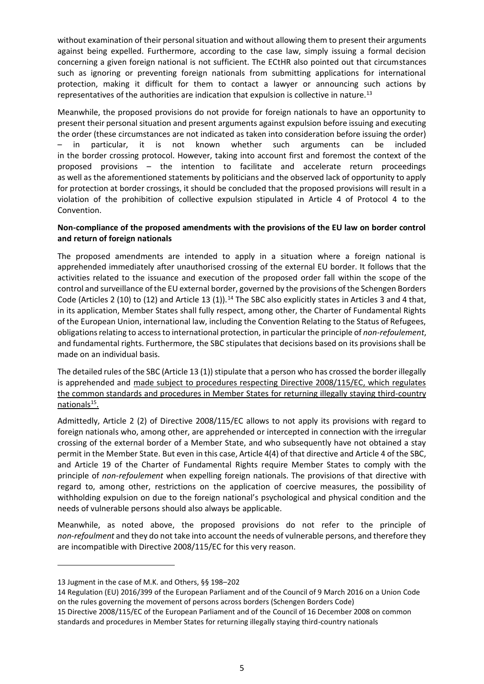without examination of their personal situation and without allowing them to present their arguments against being expelled. Furthermore, according to the case law, simply issuing a formal decision concerning a given foreign national is not sufficient. The ECtHR also pointed out that circumstances such as ignoring or preventing foreign nationals from submitting applications for international protection, making it difficult for them to contact a lawyer or announcing such actions by representatives of the authorities are indication that expulsion is collective in nature.<sup>13</sup>

Meanwhile, the proposed provisions do not provide for foreign nationals to have an opportunity to present their personal situation and present arguments against expulsion before issuing and executing the order (these circumstances are not indicated as taken into consideration before issuing the order) – in particular, it is not known whether such arguments can be included in the border crossing protocol. However, taking into account first and foremost the context of the proposed provisions – the intention to facilitate and accelerate return proceedings as well as the aforementioned statements by politicians and the observed lack of opportunity to apply for protection at border crossings, it should be concluded that the proposed provisions will result in a violation of the prohibition of collective expulsion stipulated in Article 4 of Protocol 4 to the Convention.

### **Non-compliance of the proposed amendments with the provisions of the EU law on border control and return of foreign nationals**

The proposed amendments are intended to apply in a situation where a foreign national is apprehended immediately after unauthorised crossing of the external EU border. It follows that the activities related to the issuance and execution of the proposed order fall within the scope of the control and surveillance of the EU external border, governed by the provisions of the Schengen Borders Code (Articles 2 (10) to (12) and Article 13 (1)).<sup>14</sup> The SBC also explicitly states in Articles 3 and 4 that, in its application, Member States shall fully respect, among other, the Charter of Fundamental Rights of the European Union, international law, including the Convention Relating to the Status of Refugees, obligations relating to access to international protection, in particular the principle of *non-refoulement*, and fundamental rights. Furthermore, the SBC stipulates that decisions based on its provisions shall be made on an individual basis.

The detailed rules of the SBC (Article 13 (1)) stipulate that a person who has crossed the border illegally is apprehended and made subject to procedures respecting Directive 2008/115/EC, which regulates the common standards and procedures in Member States for returning illegally staying third-country nationals<sup>15</sup>.

Admittedly, Article 2 (2) of Directive 2008/115/EC allows to not apply its provisions with regard to foreign nationals who, among other, are apprehended or intercepted in connection with the irregular crossing of the external border of a Member State, and who subsequently have not obtained a stay permit in the Member State. But even in this case, Article 4(4) of that directive and Article 4 of the SBC, and Article 19 of the Charter of Fundamental Rights require Member States to comply with the principle of *non-refoulement* when expelling foreign nationals. The provisions of that directive with regard to, among other, restrictions on the application of coercive measures, the possibility of withholding expulsion on due to the foreign national's psychological and physical condition and the needs of vulnerable persons should also always be applicable.

Meanwhile, as noted above, the proposed provisions do not refer to the principle of *non-refoulment* and they do not take into account the needs of vulnerable persons, and therefore they are incompatible with Directive 2008/115/EC for this very reason.

<sup>13</sup> Jugment in the case of M.K. and Others, §§ 198–202

<sup>14</sup> Regulation (EU) 2016/399 of the European Parliament and of the Council of 9 March 2016 on a Union Code on the rules governing the movement of persons across borders (Schengen Borders Code)

<sup>15</sup> Directive 2008/115/EC of the European Parliament and of the Council of 16 December 2008 on common standards and procedures in Member States for returning illegally staying third-country nationals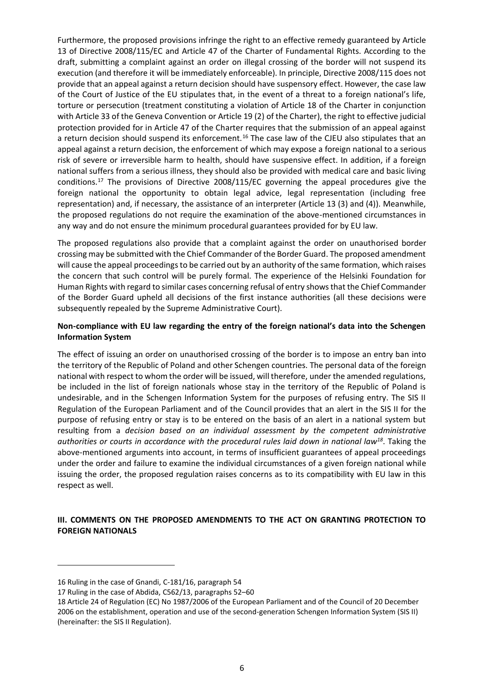Furthermore, the proposed provisions infringe the right to an effective remedy guaranteed by Article 13 of Directive 2008/115/EC and Article 47 of the Charter of Fundamental Rights. According to the draft, submitting a complaint against an order on illegal crossing of the border will not suspend its execution (and therefore it will be immediately enforceable). In principle, Directive 2008/115 does not provide that an appeal against a return decision should have suspensory effect. However, the case law of the Court of Justice of the EU stipulates that, in the event of a threat to a foreign national's life, torture or persecution (treatment constituting a violation of Article 18 of the Charter in conjunction with Article 33 of the Geneva Convention or Article 19 (2) of the Charter), the right to effective judicial protection provided for in Article 47 of the Charter requires that the submission of an appeal against a return decision should suspend its enforcement.<sup>16</sup> The case law of the CJEU also stipulates that an appeal against a return decision, the enforcement of which may expose a foreign national to a serious risk of severe or irreversible harm to health, should have suspensive effect. In addition, if a foreign national suffers from a serious illness, they should also be provided with medical care and basic living conditions.<sup>17</sup> The provisions of Directive 2008/115/EC governing the appeal procedures give the foreign national the opportunity to obtain legal advice, legal representation (including free representation) and, if necessary, the assistance of an interpreter (Article 13 (3) and (4)). Meanwhile, the proposed regulations do not require the examination of the above-mentioned circumstances in any way and do not ensure the minimum procedural guarantees provided for by EU law.

The proposed regulations also provide that a complaint against the order on unauthorised border crossing may be submitted with the Chief Commander of the Border Guard. The proposed amendment will cause the appeal proceedings to be carried out by an authority of the same formation, which raises the concern that such control will be purely formal. The experience of the Helsinki Foundation for Human Rights with regard to similar cases concerning refusal of entry shows that the Chief Commander of the Border Guard upheld all decisions of the first instance authorities (all these decisions were subsequently repealed by the Supreme Administrative Court).

## **Non-compliance with EU law regarding the entry of the foreign national's data into the Schengen Information System**

The effect of issuing an order on unauthorised crossing of the border is to impose an entry ban into the territory of the Republic of Poland and other Schengen countries. The personal data of the foreign national with respect to whom the order will be issued, will therefore, under the amended regulations, be included in the list of foreign nationals whose stay in the territory of the Republic of Poland is undesirable, and in the Schengen Information System for the purposes of refusing entry. The SIS II Regulation of the European Parliament and of the Council provides that an alert in the SIS II for the purpose of refusing entry or stay is to be entered on the basis of an alert in a national system but resulting from a *decision based on an individual assessment by the competent administrative authorities or courts in accordance with the procedural rules laid down in national law<sup>18</sup>*. Taking the above-mentioned arguments into account, in terms of insufficient guarantees of appeal proceedings under the order and failure to examine the individual circumstances of a given foreign national while issuing the order, the proposed regulation raises concerns as to its compatibility with EU law in this respect as well.

# **III. COMMENTS ON THE PROPOSED AMENDMENTS TO THE ACT ON GRANTING PROTECTION TO FOREIGN NATIONALS**

<sup>16</sup> Ruling in the case of Gnandi, C-181/16, paragraph 54

<sup>17</sup> Ruling in the case of Abdida, C562/13, paragraphs 52–60

<sup>18</sup> Article 24 of Regulation (EC) No 1987/2006 of the European Parliament and of the Council of 20 December 2006 on the establishment, operation and use of the second-generation Schengen Information System (SIS II) (hereinafter: the SIS II Regulation).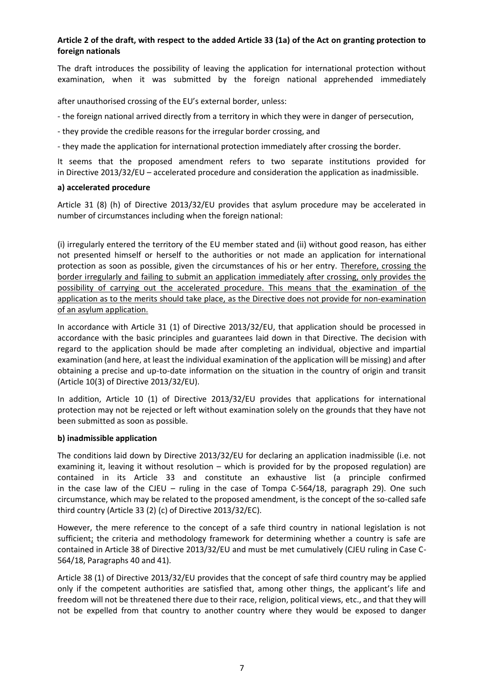# **Article 2 of the draft, with respect to the added Article 33 (1a) of the Act on granting protection to foreign nationals**

The draft introduces the possibility of leaving the application for international protection without examination, when it was submitted by the foreign national apprehended immediately

after unauthorised crossing of the EU's external border, unless:

- the foreign national arrived directly from a territory in which they were in danger of persecution,
- they provide the credible reasons for the irregular border crossing, and

- they made the application for international protection immediately after crossing the border.

It seems that the proposed amendment refers to two separate institutions provided for in Directive 2013/32/EU – accelerated procedure and consideration the application as inadmissible.

### **a) accelerated procedure**

Article 31 (8) (h) of Directive 2013/32/EU provides that asylum procedure may be accelerated in number of circumstances including when the foreign national:

(i) irregularly entered the territory of the EU member stated and (ii) without good reason, has either not presented himself or herself to the authorities or not made an application for international protection as soon as possible, given the circumstances of his or her entry. Therefore, crossing the border irregularly and failing to submit an application immediately after crossing, only provides the possibility of carrying out the accelerated procedure. This means that the examination of the application as to the merits should take place, as the Directive does not provide for non-examination of an asylum application.

In accordance with Article 31 (1) of Directive 2013/32/EU, that application should be processed in accordance with the basic principles and guarantees laid down in that Directive. The decision with regard to the application should be made after completing an individual, objective and impartial examination (and here, at least the individual examination of the application will be missing) and after obtaining a precise and up-to-date information on the situation in the country of origin and transit (Article 10(3) of Directive 2013/32/EU).

In addition, Article 10 (1) of Directive 2013/32/EU provides that applications for international protection may not be rejected or left without examination solely on the grounds that they have not been submitted as soon as possible.

### **b) inadmissible application**

The conditions laid down by Directive 2013/32/EU for declaring an application inadmissible (i.e. not examining it, leaving it without resolution – which is provided for by the proposed regulation) are contained in its Article 33 and constitute an exhaustive list (a principle confirmed in the case law of the CJEU – ruling in the case of Tompa C-564/18, paragraph 29). One such circumstance, which may be related to the proposed amendment, is the concept of the so-called safe third country (Article 33 (2) (c) of Directive 2013/32/EC).

However, the mere reference to the concept of a safe third country in national legislation is not sufficient; the criteria and methodology framework for determining whether a country is safe are contained in Article 38 of Directive 2013/32/EU and must be met cumulatively (CJEU ruling in Case C-564/18, Paragraphs 40 and 41).

Article 38 (1) of Directive 2013/32/EU provides that the concept of safe third country may be applied only if the competent authorities are satisfied that, among other things, the applicant's life and freedom will not be threatened there due to their race, religion, political views, etc., and that they will not be expelled from that country to another country where they would be exposed to danger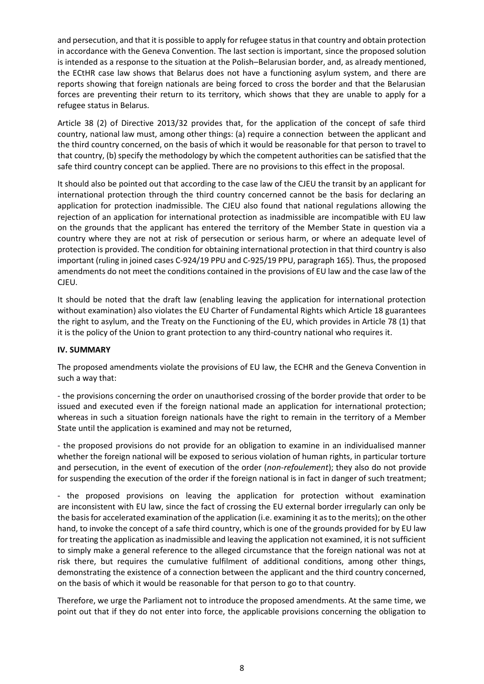and persecution, and that it is possible to apply for refugee status in that country and obtain protection in accordance with the Geneva Convention. The last section is important, since the proposed solution is intended as a response to the situation at the Polish–Belarusian border, and, as already mentioned, the ECtHR case law shows that Belarus does not have a functioning asylum system, and there are reports showing that foreign nationals are being forced to cross the border and that the Belarusian forces are preventing their return to its territory, which shows that they are unable to apply for a refugee status in Belarus.

Article 38 (2) of Directive 2013/32 provides that, for the application of the concept of safe third country, national law must, among other things: (a) require a connection between the applicant and the third country concerned, on the basis of which it would be reasonable for that person to travel to that country, (b) specify the methodology by which the competent authorities can be satisfied that the safe third country concept can be applied. There are no provisions to this effect in the proposal.

It should also be pointed out that according to the case law of the CJEU the transit by an applicant for international protection through the third country concerned cannot be the basis for declaring an application for protection inadmissible. The CJEU also found that national regulations allowing the rejection of an application for international protection as inadmissible are incompatible with EU law on the grounds that the applicant has entered the territory of the Member State in question via a country where they are not at risk of persecution or serious harm, or where an adequate level of protection is provided. The condition for obtaining international protection in that third country is also important (ruling in joined cases C-924/19 PPU and C-925/19 PPU, paragraph 165). Thus, the proposed amendments do not meet the conditions contained in the provisions of EU law and the case law of the CJEU.

It should be noted that the draft law (enabling leaving the application for international protection without examination) also violates the EU Charter of Fundamental Rights which Article 18 guarantees the right to asylum, and the Treaty on the Functioning of the EU, which provides in Article 78 (1) that it is the policy of the Union to grant protection to any third-country national who requires it.

### **IV. SUMMARY**

The proposed amendments violate the provisions of EU law, the ECHR and the Geneva Convention in such a way that:

- the provisions concerning the order on unauthorised crossing of the border provide that order to be issued and executed even if the foreign national made an application for international protection; whereas in such a situation foreign nationals have the right to remain in the territory of a Member State until the application is examined and may not be returned,

- the proposed provisions do not provide for an obligation to examine in an individualised manner whether the foreign national will be exposed to serious violation of human rights, in particular torture and persecution, in the event of execution of the order (*non-refoulement*); they also do not provide for suspending the execution of the order if the foreign national is in fact in danger of such treatment;

- the proposed provisions on leaving the application for protection without examination are inconsistent with EU law, since the fact of crossing the EU external border irregularly can only be the basis for accelerated examination of the application (i.e. examining it as to the merits); on the other hand, to invoke the concept of a safe third country, which is one of the grounds provided for by EU law for treating the application as inadmissible and leaving the application not examined, it is not sufficient to simply make a general reference to the alleged circumstance that the foreign national was not at risk there, but requires the cumulative fulfilment of additional conditions, among other things, demonstrating the existence of a connection between the applicant and the third country concerned, on the basis of which it would be reasonable for that person to go to that country.

Therefore, we urge the Parliament not to introduce the proposed amendments. At the same time, we point out that if they do not enter into force, the applicable provisions concerning the obligation to